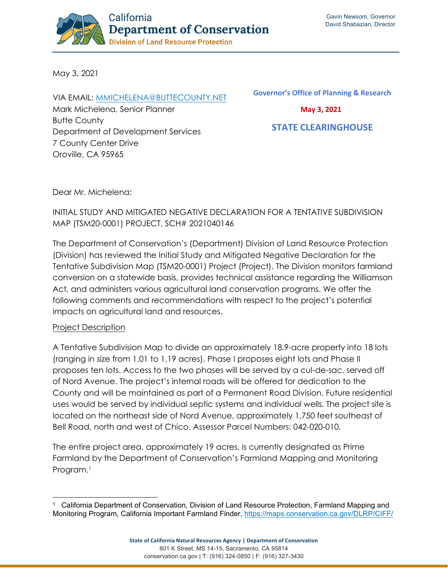

May 3, 2021

VIA EMAIL: [MMICHELENA@BUTTECOUNTY.NET](mailto:mmichelena@buttecounty.net) Mark Michelena, Senior Planner Butte County Department of Development Services 7 County Center Drive Oroville, CA 95965

**Governor's Office of Planning & Research**

 **May 3, 2021**

 **STATE CLEARINGHOUSE**

Dear Mr. Michelena:

# INITIAL STUDY AND MITIGATED NEGATIVE DECLARATION FOR A TENTATIVE SUBDIVISION MAP (TSM20-0001) PROJECT, SCH# 2021040146

The Department of Conservation's (Department) Division of Land Resource Protection (Division) has reviewed the Initial Study and Mitigated Negative Declaration for the Tentative Subdivision Map (TSM20-0001) Project (Project). The Division monitors farmland conversion on a statewide basis, provides technical assistance regarding the Williamson Act, and administers various agricultural land conservation programs. We offer the following comments and recommendations with respect to the project's potential impacts on agricultural land and resources.

### Project Description

A Tentative Subdivision Map to divide an approximately 18.9-acre property into 18 lots (ranging in size from 1.01 to 1.19 acres). Phase I proposes eight lots and Phase II proposes ten lots. Access to the two phases will be served by a cul-de-sac, served off of Nord Avenue. The project's internal roads will be offered for dedication to the County and will be maintained as part of a Permanent Road Division. Future residential uses would be served by individual septic systems and individual wells. The project site is located on the northeast side of Nord Avenue, approximately 1,750 feet southeast of Bell Road, north and west of Chico. Assessor Parcel Numbers: 042-020-010.

The entire project area, approximately 19 acres, is currently designated as Prime Farmland by the Department of Conservation's Farmland Mapping and Monitoring Program.<sup>[1](#page-0-0)</sup>

<span id="page-0-0"></span><sup>1</sup> California Department of Conservation, Division of Land Resource Protection, Farmland Mapping and Monitoring Program, California Important Farmland Finder, <https://maps.conservation.ca.gov/DLRP/CIFF/>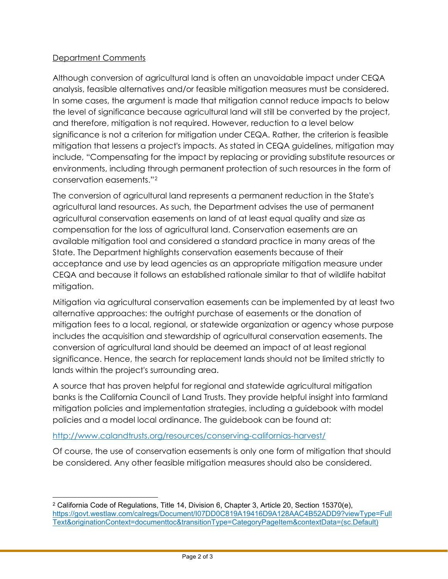### Department Comments

Although conversion of agricultural land is often an unavoidable impact under CEQA analysis, feasible alternatives and/or feasible mitigation measures must be considered. In some cases, the argument is made that mitigation cannot reduce impacts to below the level of significance because agricultural land will still be converted by the project, and therefore, mitigation is not required. However, reduction to a level below significance is not a criterion for mitigation under CEQA. Rather, the criterion is feasible mitigation that lessens a project's impacts. As stated in CEQA guidelines, mitigation may include, "Compensating for the impact by replacing or providing substitute resources or environments, including through permanent protection of such resources in the form of conservation easements."[2](#page-1-0)

The conversion of agricultural land represents a permanent reduction in the State's agricultural land resources. As such, the Department advises the use of permanent agricultural conservation easements on land of at least equal quality and size as compensation for the loss of agricultural land. Conservation easements are an available mitigation tool and considered a standard practice in many areas of the State. The Department highlights conservation easements because of their acceptance and use by lead agencies as an appropriate mitigation measure under CEQA and because it follows an established rationale similar to that of wildlife habitat mitigation.

Mitigation via agricultural conservation easements can be implemented by at least two alternative approaches: the outright purchase of easements or the donation of mitigation fees to a local, regional, or statewide organization or agency whose purpose includes the acquisition and stewardship of agricultural conservation easements. The conversion of agricultural land should be deemed an impact of at least regional significance. Hence, the search for replacement lands should not be limited strictly to lands within the project's surrounding area.

A source that has proven helpful for regional and statewide agricultural mitigation banks is the California Council of Land Trusts. They provide helpful insight into farmland mitigation policies and implementation strategies, including a guidebook with model policies and a model local ordinance. The guidebook can be found at:

### [http://www.calandtrusts.org/resources/conserving-californias-harvest/](https://www.calandtrusts.org/wp-content/uploads/2014/03/conserving-californias-harvest-web-version-6.26.14.pdf)

Of course, the use of conservation easements is only one form of mitigation that should be considered. Any other feasible mitigation measures should also be considered.

<span id="page-1-0"></span><sup>2</sup> California Code of Regulations, Title 14, Division 6, Chapter 3, Article 20, Section 15370(e), [https://govt.westlaw.com/calregs/Document/I07DD0C819A19416D9A128AAC4B52ADD9?viewType=Full](https://govt.westlaw.com/calregs/Document/I07DD0C819A19416D9A128AAC4B52ADD9?viewType=FullText&originationContext=documenttoc&transitionType=CategoryPageItem&contextData=(sc.Default)) [Text&originationContext=documenttoc&transitionType=CategoryPageItem&contextData=\(sc.Default\)](https://govt.westlaw.com/calregs/Document/I07DD0C819A19416D9A128AAC4B52ADD9?viewType=FullText&originationContext=documenttoc&transitionType=CategoryPageItem&contextData=(sc.Default))